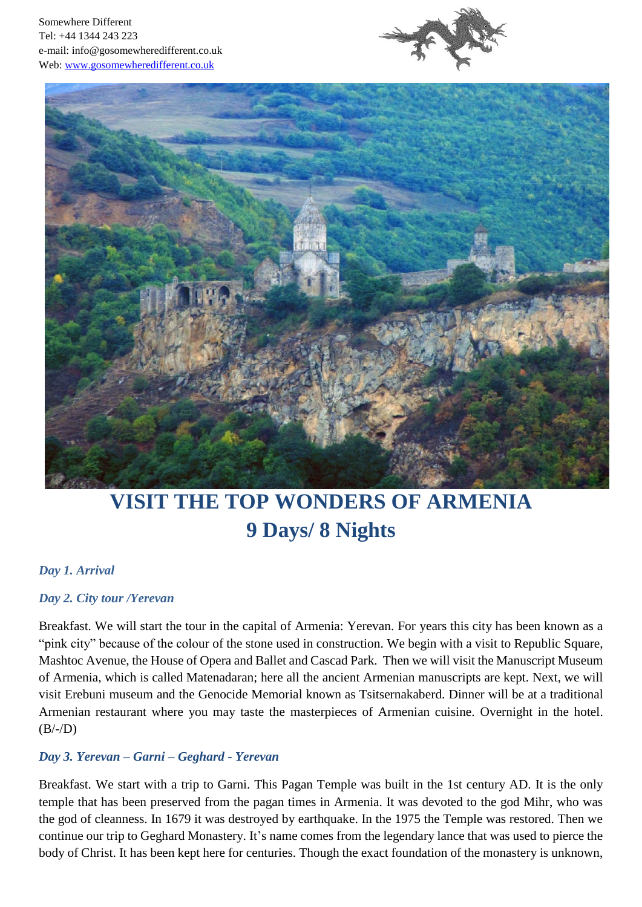



# **VISIT THE TOP WONDERS OF ARMENIA 9 Days/ 8 Nights**

### *Day 1. Arrival*

#### *Day 2. City tour /Yerevan*

Breakfast. We will start the tour in the capital of Armenia: Yerevan. For years this city has been known as a "pink city" because of the colour of the stone used in construction. We begin with a visit to Republic Square, Mashtoc Avenue, the House of Opera and Ballet and Cascad Park. Then we will visit the Manuscript Museum of Armenia, which is called Matenadaran; here all the ancient Armenian manuscripts are kept. Next, we will visit Erebuni museum and the Genocide Memorial known as Tsitsernakaberd. Dinner will be at a traditional Armenian restaurant where you may taste the masterpieces of Armenian cuisine. Overnight in the hotel.  $(B/-/D)$ 

### *Day 3. Yerevan – Garni – Geghard - Yerevan*

Breakfast. We start with a trip to Garni. This Pagan Temple was built in the 1st century AD. It is the only temple that has been preserved from the pagan times in Armenia. It was devoted to the god Mihr, who was the god of cleanness. In 1679 it was destroyed by earthquake. In the 1975 the Temple was restored. Then we continue our trip to Geghard Monastery. It's name comes from the legendary lance that was used to pierce the body of Christ. It has been kept here for centuries. Though the exact foundation of the monastery is unknown,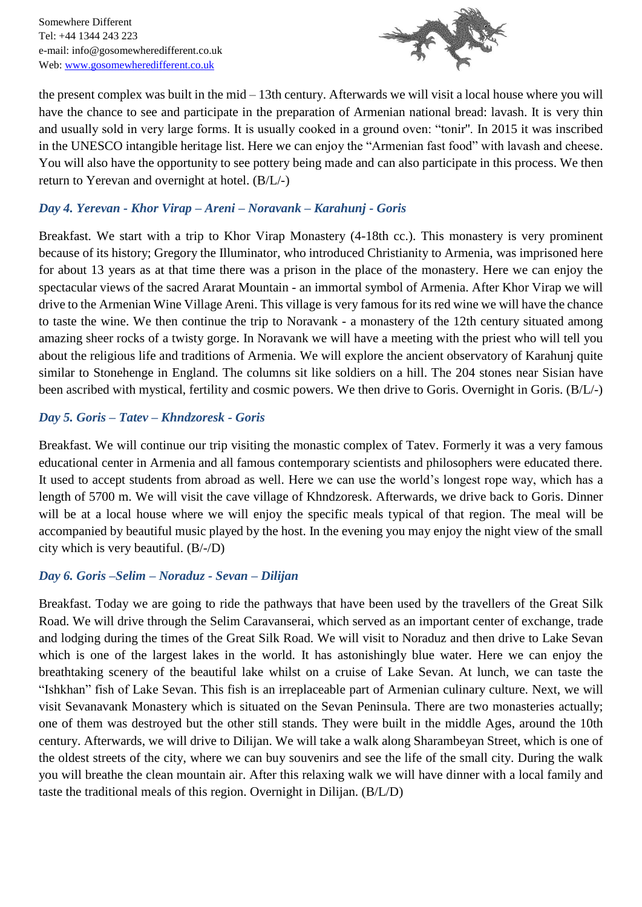

the present complex was built in the mid – 13th century. Afterwards we will visit a local house where you will have the chance to see and participate in the preparation of Armenian national bread: lavash. It is very thin and usually sold in very large forms. It is usually cooked in a ground oven: "tonir''. In 2015 it was inscribed in the UNESCO intangible heritage list. Here we can enjoy the "Armenian fast food" with lavash and cheese. You will also have the opportunity to see pottery being made and can also participate in this process. We then return to Yerevan and overnight at hotel. (B/L/-)

## *Day 4. Yerevan - Khor Virap – Areni – Noravank – Karahunj - Goris*

Breakfast. We start with a trip to Khor Virap Monastery (4-18th cc.). This monastery is very prominent because of its history; Gregory the Illuminator, who introduced Christianity to Armenia, was imprisoned here for about 13 years as at that time there was a prison in the place of the monastery. Here we can enjoy the spectacular views of the sacred Ararat Mountain - an immortal symbol of Armenia. After Khor Virap we will drive to the Armenian Wine Village Areni. This village is very famous for its red wine we will have the chance to taste the wine. We then continue the trip to Noravank - a monastery of the 12th century situated among amazing sheer rocks of a twisty gorge. In Noravank we will have a meeting with the priest who will tell you about the religious life and traditions of Armenia. We will explore the ancient observatory of Karahunj quite similar to Stonehenge in England. The columns sit like soldiers on a hill. The 204 stones near Sisian have been ascribed with mystical, fertility and cosmic powers. We then drive to Goris. Overnight in Goris. (B/L/-)

### *Day 5. Goris – Tatev – Khndzoresk - Goris*

Breakfast. We will continue our trip visiting the monastic complex of Tatev. Formerly it was a very famous educational center in Armenia and all famous contemporary scientists and philosophers were educated there. It used to accept students from abroad as well. Here we can use the world's longest rope way, which has a length of 5700 m. We will visit the cave village of Khndzoresk. Afterwards, we drive back to Goris. Dinner will be at a local house where we will enjoy the specific meals typical of that region. The meal will be accompanied by beautiful music played by the host. In the evening you may enjoy the night view of the small city which is very beautiful. (B/-/D)

### *Day 6. Goris –Selim – Noraduz - Sevan – Dilijan*

Breakfast. Today we are going to ride the pathways that have been used by the travellers of the Great Silk Road. We will drive through the Selim Caravanserai, which served as an important center of exchange, trade and lodging during the times of the Great Silk Road. We will visit to Noraduz and then drive to Lake Sevan which is one of the largest lakes in the world. It has astonishingly blue water. Here we can enjoy the breathtaking scenery of the beautiful lake whilst on a cruise of Lake Sevan. At lunch, we can taste the "Ishkhan" fish of Lake Sevan. This fish is an irreplaceable part of Armenian culinary culture. Next, we will visit Sevanavank Monastery which is situated on the Sevan Peninsula. There are two monasteries actually; one of them was destroyed but the other still stands. They were built in the middle Ages, around the 10th century. Afterwards, we will drive to Dilijan. We will take a walk along Sharambeyan Street, which is one of the oldest streets of the city, where we can buy souvenirs and see the life of the small city. During the walk you will breathe the clean mountain air. After this relaxing walk we will have dinner with a local family and taste the traditional meals of this region. Overnight in Dilijan. (B/L/D)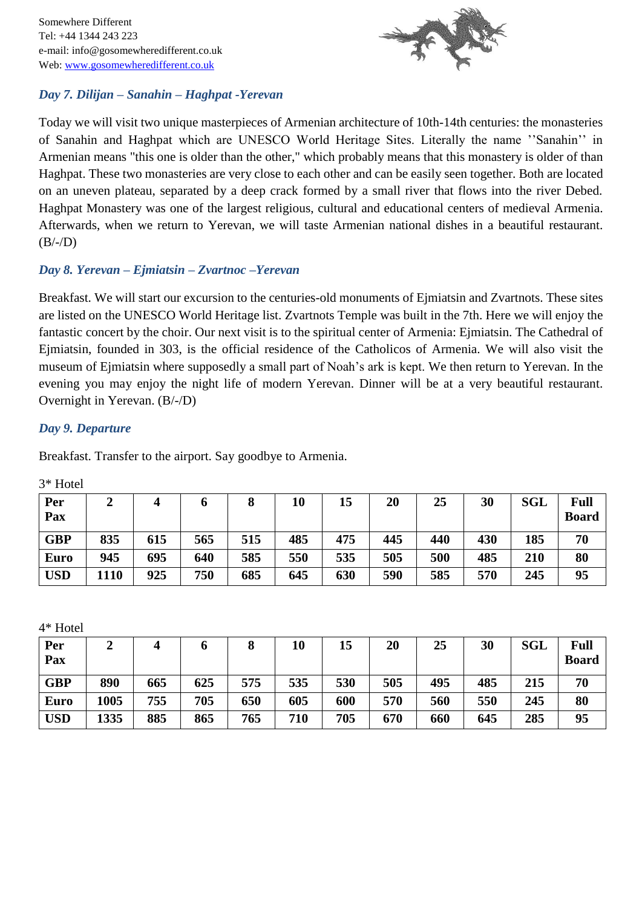

## *Day 7. Dilijan – Sanahin – Haghpat -Yerevan*

Today we will visit two unique masterpieces of Armenian architecture of 10th-14th centuries: the monasteries of Sanahin and Haghpat which are UNESCO World Heritage Sites. Literally the name ''Sanahin'' in Armenian means "this one is older than the other," which probably means that this monastery is older of than Haghpat. These two monasteries are very close to each other and can be easily seen together. Both are located on an uneven plateau, separated by a deep crack formed by a small river that flows into the river Debed. Haghpat Monastery was one of the largest religious, cultural and educational centers of medieval Armenia. Afterwards, when we return to Yerevan, we will taste Armenian national dishes in a beautiful restaurant.  $(B/-/D)$ 

## *Day 8. Yerevan – Ejmiatsin – Zvartnoc –Yerevan*

Breakfast. We will start our excursion to the centuries-old monuments of Ejmiatsin and Zvartnots. These sites are listed on the UNESCO World Heritage list. Zvartnots Temple was built in the 7th. Here we will enjoy the fantastic concert by the choir. Our next visit is to the spiritual center of Armenia: Ejmiatsin. The Cathedral of Ejmiatsin, founded in 303, is the official residence of the Catholicos of Armenia. We will also visit the museum of Ejmiatsin where supposedly a small part of Noah's ark is kept. We then return to Yerevan. In the evening you may enjoy the night life of modern Yerevan. Dinner will be at a very beautiful restaurant. Overnight in Yerevan. (B/-/D)

### *Day 9. Departure*

Breakfast. Transfer to the airport. Say goodbye to Armenia.

| Per<br>Pax  |      | 4   | o   | O   | 10  | 15  | $20\,$ | 25  | 30  | <b>SGL</b> | Full<br><b>Board</b> |
|-------------|------|-----|-----|-----|-----|-----|--------|-----|-----|------------|----------------------|
| <b>GBP</b>  | 835  | 615 | 565 | 515 | 485 | 475 | 445    | 440 | 430 | 185        | 70                   |
| <b>Euro</b> | 945  | 695 | 640 | 585 | 550 | 535 | 505    | 500 | 485 | 210        | 80                   |
| <b>USD</b>  | 1110 | 925 | 750 | 685 | 645 | 630 | 590    | 585 | 570 | 245        | 95                   |

3\* Hotel

4\* Hotel

| Per         |      | 4   |     | 8   | 10  | 15  | 20  | 25  | 30  | SGL | <b>Full</b>  |
|-------------|------|-----|-----|-----|-----|-----|-----|-----|-----|-----|--------------|
| Pax         |      |     |     |     |     |     |     |     |     |     | <b>Board</b> |
| <b>GBP</b>  | 890  | 665 | 625 | 575 | 535 | 530 | 505 | 495 | 485 | 215 | 70           |
| <b>Euro</b> | 1005 | 755 | 705 | 650 | 605 | 600 | 570 | 560 | 550 | 245 | 80           |
| <b>USD</b>  | 1335 | 885 | 865 | 765 | 710 | 705 | 670 | 660 | 645 | 285 | 95           |